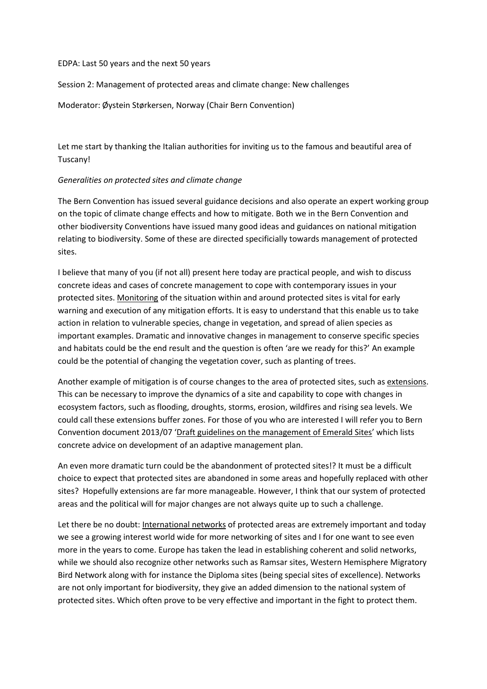## EDPA: Last 50 years and the next 50 years

Session 2: Management of protected areas and climate change: New challenges

Moderator: Øystein Størkersen, Norway (Chair Bern Convention)

Let me start by thanking the Italian authorities for inviting us to the famous and beautiful area of Tuscany!

## *Generalities on protected sites and climate change*

The Bern Convention has issued several guidance decisions and also operate an expert working group on the topic of climate change effects and how to mitigate. Both we in the Bern Convention and other biodiversity Conventions have issued many good ideas and guidances on national mitigation relating to biodiversity. Some of these are directed specificially towards management of protected sites.

I believe that many of you (if not all) present here today are practical people, and wish to discuss concrete ideas and cases of concrete management to cope with contemporary issues in your protected sites. Monitoring of the situation within and around protected sites is vital for early warning and execution of any mitigation efforts. It is easy to understand that this enable us to take action in relation to vulnerable species, change in vegetation, and spread of alien species as important examples. Dramatic and innovative changes in management to conserve specific species and habitats could be the end result and the question is often 'are we ready for this?' An example could be the potential of changing the vegetation cover, such as planting of trees.

Another example of mitigation is of course changes to the area of protected sites, such as extensions. This can be necessary to improve the dynamics of a site and capability to cope with changes in ecosystem factors, such as flooding, droughts, storms, erosion, wildfires and rising sea levels. We could call these extensions buffer zones. For those of you who are interested I will refer you to Bern Convention document 2013/07 'Draft guidelines on the management of Emerald Sites' which lists concrete advice on development of an adaptive management plan.

An even more dramatic turn could be the abandonment of protected sites!? It must be a difficult choice to expect that protected sites are abandoned in some areas and hopefully replaced with other sites? Hopefully extensions are far more manageable. However, I think that our system of protected areas and the political will for major changes are not always quite up to such a challenge.

Let there be no doubt: International networks of protected areas are extremely important and today we see a growing interest world wide for more networking of sites and I for one want to see even more in the years to come. Europe has taken the lead in establishing coherent and solid networks, while we should also recognize other networks such as Ramsar sites, Western Hemisphere Migratory Bird Network along with for instance the Diploma sites (being special sites of excellence). Networks are not only important for biodiversity, they give an added dimension to the national system of protected sites. Which often prove to be very effective and important in the fight to protect them.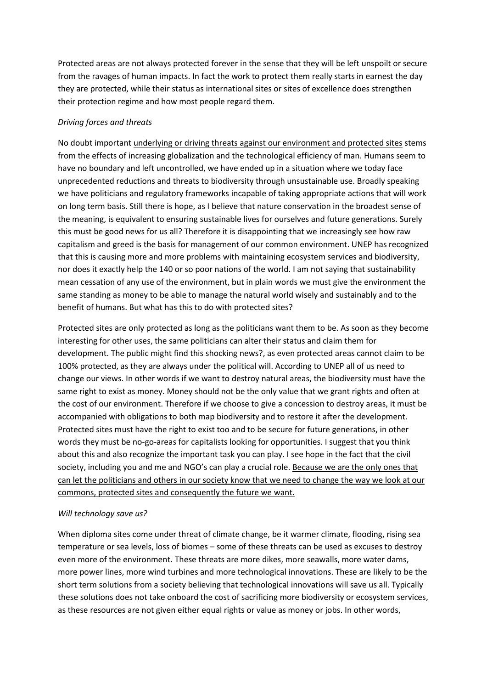Protected areas are not always protected forever in the sense that they will be left unspoilt or secure from the ravages of human impacts. In fact the work to protect them really starts in earnest the day they are protected, while their status as international sites or sites of excellence does strengthen their protection regime and how most people regard them.

## *Driving forces and threats*

No doubt important underlying or driving threats against our environment and protected sites stems from the effects of increasing globalization and the technological efficiency of man. Humans seem to have no boundary and left uncontrolled, we have ended up in a situation where we today face unprecedented reductions and threats to biodiversity through unsustainable use. Broadly speaking we have politicians and regulatory frameworks incapable of taking appropriate actions that will work on long term basis. Still there is hope, as I believe that nature conservation in the broadest sense of the meaning, is equivalent to ensuring sustainable lives for ourselves and future generations. Surely this must be good news for us all? Therefore it is disappointing that we increasingly see how raw capitalism and greed is the basis for management of our common environment. UNEP has recognized that this is causing more and more problems with maintaining ecosystem services and biodiversity, nor does it exactly help the 140 or so poor nations of the world. I am not saying that sustainability mean cessation of any use of the environment, but in plain words we must give the environment the same standing as money to be able to manage the natural world wisely and sustainably and to the benefit of humans. But what has this to do with protected sites?

Protected sites are only protected as long as the politicians want them to be. As soon as they become interesting for other uses, the same politicians can alter their status and claim them for development. The public might find this shocking news?, as even protected areas cannot claim to be 100% protected, as they are always under the political will. According to UNEP all of us need to change our views. In other words if we want to destroy natural areas, the biodiversity must have the same right to exist as money. Money should not be the only value that we grant rights and often at the cost of our environment. Therefore if we choose to give a concession to destroy areas, it must be accompanied with obligations to both map biodiversity and to restore it after the development. Protected sites must have the right to exist too and to be secure for future generations, in other words they must be no-go-areas for capitalists looking for opportunities. I suggest that you think about this and also recognize the important task you can play. I see hope in the fact that the civil society, including you and me and NGO's can play a crucial role. Because we are the only ones that can let the politicians and others in our society know that we need to change the way we look at our commons, protected sites and consequently the future we want.

## *Will technology save us?*

When diploma sites come under threat of climate change, be it warmer climate, flooding, rising sea temperature or sea levels, loss of biomes – some of these threats can be used as excuses to destroy even more of the environment. These threats are more dikes, more seawalls, more water dams, more power lines, more wind turbines and more technological innovations. These are likely to be the short term solutions from a society believing that technological innovations will save us all. Typically these solutions does not take onboard the cost of sacrificing more biodiversity or ecosystem services, as these resources are not given either equal rights or value as money or jobs. In other words,